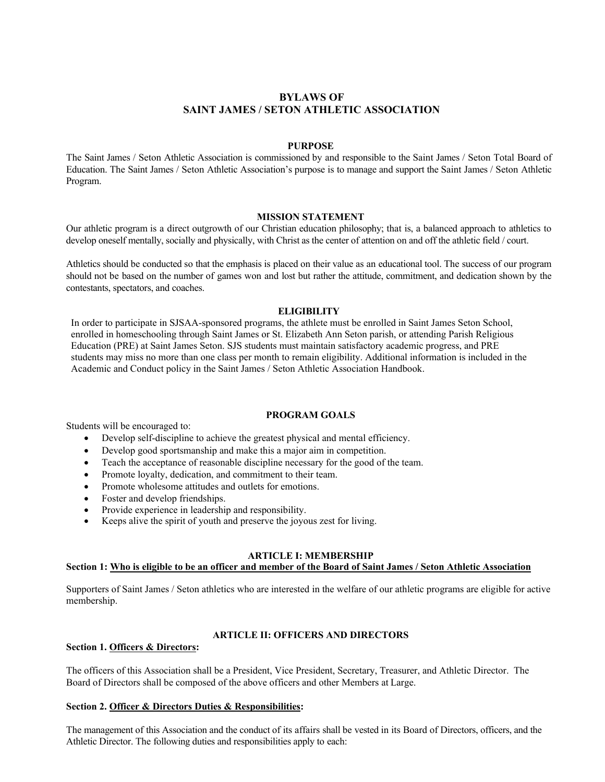# **BYLAWS OF SAINT JAMES / SETON ATHLETIC ASSOCIATION**

#### **PURPOSE**

The Saint James / Seton Athletic Association is commissioned by and responsible to the Saint James / Seton Total Board of Education. The Saint James / Seton Athletic Association's purpose is to manage and support the Saint James / Seton Athletic Program.

#### **MISSION STATEMENT**

Our athletic program is a direct outgrowth of our Christian education philosophy; that is, a balanced approach to athletics to develop oneself mentally, socially and physically, with Christ as the center of attention on and off the athletic field / court.

Athletics should be conducted so that the emphasis is placed on their value as an educational tool. The success of our program should not be based on the number of games won and lost but rather the attitude, commitment, and dedication shown by the contestants, spectators, and coaches.

### **ELIGIBILITY**

In order to participate in SJSAA-sponsored programs, the athlete must be enrolled in Saint James Seton School, enrolled in homeschooling through Saint James or St. Elizabeth Ann Seton parish, or attending Parish Religious Education (PRE) at Saint James Seton. SJS students must maintain satisfactory academic progress, and PRE students may miss no more than one class per month to remain eligibility. Additional information is included in the Academic and Conduct policy in the Saint James / Seton Athletic Association Handbook.

### **PROGRAM GOALS**

Students will be encouraged to:

- Develop self-discipline to achieve the greatest physical and mental efficiency.
- Develop good sportsmanship and make this a major aim in competition.
- Teach the acceptance of reasonable discipline necessary for the good of the team.
- Promote loyalty, dedication, and commitment to their team.
- Promote wholesome attitudes and outlets for emotions.
- Foster and develop friendships.
- Provide experience in leadership and responsibility.
- Keeps alive the spirit of youth and preserve the joyous zest for living.

# **ARTICLE I: MEMBERSHIP**

### **Section 1: Who is eligible to be an officer and member of the Board of Saint James / Seton Athletic Association**

Supporters of Saint James / Seton athletics who are interested in the welfare of our athletic programs are eligible for active membership.

# **ARTICLE II: OFFICERS AND DIRECTORS**

# **Section 1. Officers & Directors:**

The officers of this Association shall be a President, Vice President, Secretary, Treasurer, and Athletic Director. The Board of Directors shall be composed of the above officers and other Members at Large.

## **Section 2. Officer & Directors Duties & Responsibilities:**

The management of this Association and the conduct of its affairs shall be vested in its Board of Directors, officers, and the Athletic Director. The following duties and responsibilities apply to each: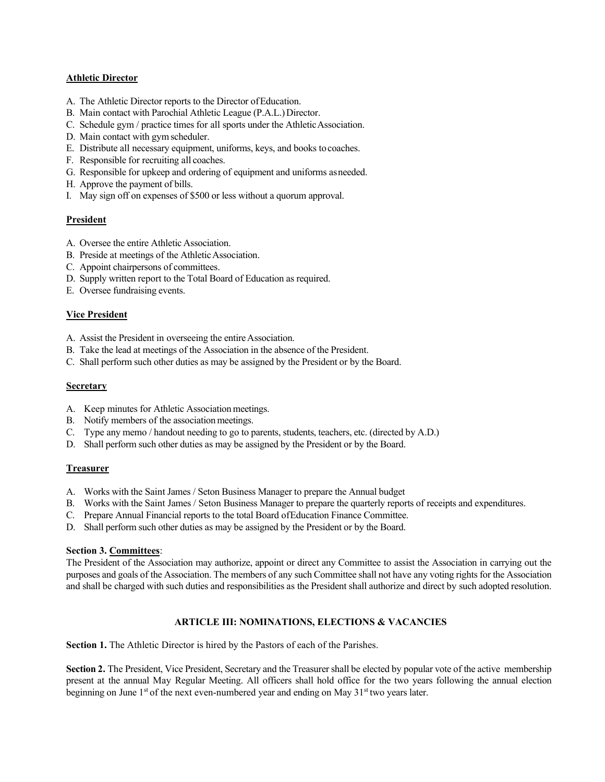#### **Athletic Director**

- A. The Athletic Director reports to the Director ofEducation.
- B. Main contact with Parochial Athletic League (P.A.L.)Director.
- C. Schedule gym / practice times for all sports under the AthleticAssociation.
- D. Main contact with gymscheduler.
- E. Distribute all necessary equipment, uniforms, keys, and books tocoaches.
- F. Responsible for recruiting all coaches.
- G. Responsible for upkeep and ordering of equipment and uniforms asneeded.
- H. Approve the payment of bills.
- I. May sign off on expenses of \$500 or less without a quorum approval.

### **President**

- A. Oversee the entire Athletic Association.
- B. Preside at meetings of the Athletic Association.
- C. Appoint chairpersons of committees.
- D. Supply written report to the Total Board of Education as required.
- E. Oversee fundraising events.

### **Vice President**

- A. Assist the President in overseeing the entire Association.
- B. Take the lead at meetings of the Association in the absence of the President.
- C. Shall perform such other duties as may be assigned by the President or by the Board.

#### **Secretary**

- A. Keep minutes for Athletic Association meetings.
- B. Notify members of the association meetings.
- C. Type any memo / handout needing to go to parents, students, teachers, etc. (directed by A.D.)
- D. Shall perform such other duties as may be assigned by the President or by the Board.

### **Treasurer**

- A. Works with the Saint James / Seton Business Manager to prepare the Annual budget
- B. Works with the Saint James / Seton Business Manager to prepare the quarterly reports of receipts and expenditures.
- C. Prepare Annual Financial reports to the total Board ofEducation Finance Committee.
- D. Shall perform such other duties as may be assigned by the President or by the Board.

#### **Section 3. Committees**:

The President of the Association may authorize, appoint or direct any Committee to assist the Association in carrying out the purposes and goals of the Association. The members of any such Committee shall not have any voting rights for the Association and shall be charged with such duties and responsibilities as the President shall authorize and direct by such adopted resolution.

### **ARTICLE III: NOMINATIONS, ELECTIONS & VACANCIES**

**Section 1.** The Athletic Director is hired by the Pastors of each of the Parishes.

**Section 2.** The President, Vice President, Secretary and the Treasurer shall be elected by popular vote of the active membership present at the annual May Regular Meeting. All officers shall hold office for the two years following the annual election beginning on June  $1<sup>st</sup>$  of the next even-numbered year and ending on May  $31<sup>st</sup>$  two years later.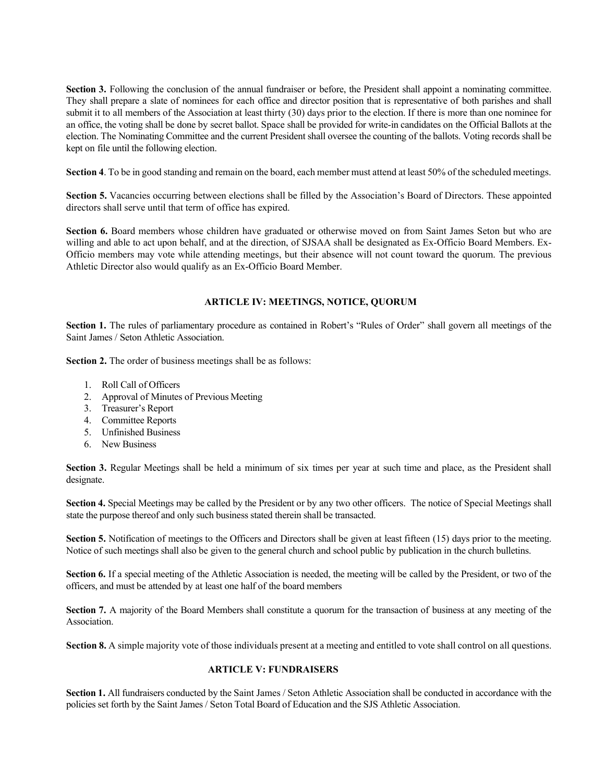**Section 3.** Following the conclusion of the annual fundraiser or before, the President shall appoint a nominating committee. They shall prepare a slate of nominees for each office and director position that is representative of both parishes and shall submit it to all members of the Association at least thirty (30) days prior to the election. If there is more than one nominee for an office, the voting shall be done by secret ballot. Space shall be provided for write-in candidates on the Official Ballots at the election. The Nominating Committee and the current President shall oversee the counting of the ballots. Voting records shall be kept on file until the following election.

**Section 4**. To be in good standing and remain on the board, each member must attend at least 50% of the scheduled meetings.

**Section 5.** Vacancies occurring between elections shall be filled by the Association's Board of Directors. These appointed directors shall serve until that term of office has expired.

**Section 6.** Board members whose children have graduated or otherwise moved on from Saint James Seton but who are willing and able to act upon behalf, and at the direction, of SJSAA shall be designated as Ex-Officio Board Members. Ex-Officio members may vote while attending meetings, but their absence will not count toward the quorum. The previous Athletic Director also would qualify as an Ex-Officio Board Member.

# **ARTICLE IV: MEETINGS, NOTICE, QUORUM**

Section 1. The rules of parliamentary procedure as contained in Robert's "Rules of Order" shall govern all meetings of the Saint James / Seton Athletic Association.

**Section 2.** The order of business meetings shall be as follows:

- 1. Roll Call of Officers
- 2. Approval of Minutes of Previous Meeting
- 3. Treasurer's Report
- 4. Committee Reports
- 5. Unfinished Business
- 6. New Business

**Section 3.** Regular Meetings shall be held a minimum of six times per year at such time and place, as the President shall designate.

**Section 4.** Special Meetings may be called by the President or by any two other officers. The notice of Special Meetings shall state the purpose thereof and only such business stated therein shall be transacted.

**Section 5.** Notification of meetings to the Officers and Directors shall be given at least fifteen (15) days prior to the meeting. Notice of such meetings shall also be given to the general church and school public by publication in the church bulletins.

**Section 6.** If a special meeting of the Athletic Association is needed, the meeting will be called by the President, or two of the officers, and must be attended by at least one half of the board members

**Section 7.** A majority of the Board Members shall constitute a quorum for the transaction of business at any meeting of the Association.

**Section 8.** A simple majority vote of those individuals present at a meeting and entitled to vote shall control on all questions.

### **ARTICLE V: FUNDRAISERS**

**Section 1.** All fundraisers conducted by the Saint James / Seton Athletic Association shall be conducted in accordance with the policies set forth by the Saint James / Seton Total Board of Education and the SJS Athletic Association.